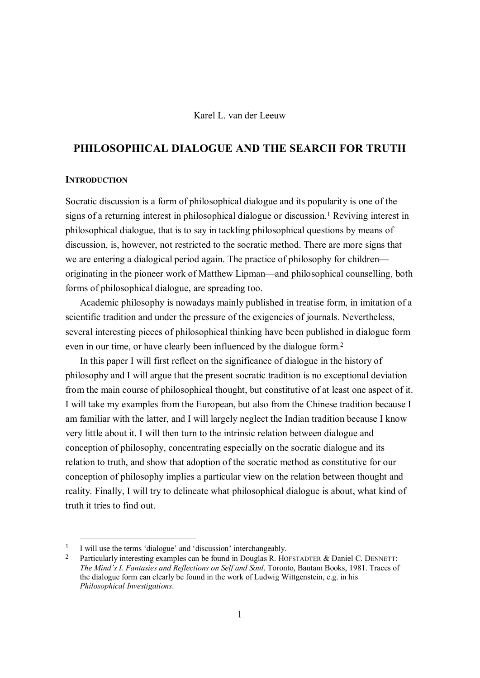# Karel L. van der Leeuw

# PHILOSOPHICAL DIALOGUE AND THE SEARCH FOR TRUTH

#### **INTRODUCTION**

Socratic discussion is a form of philosophical dialogue and its popularity is one of the signs of a returning interest in philosophical dialogue or discussion.<sup>1</sup> Reviving interest in philosophical dialogue, that is to say in tackling philosophical questions by means of discussion, is, however, not restricted to the socratic method. There are more signs that we are entering a dialogical period again. The practice of philosophy for children originating in the pioneer work of Matthew Lipman—and philosophical counselling, both forms of philosophical dialogue, are spreading too.

Academic philosophy is nowadays mainly published in treatise form, in imitation of a scientific tradition and under the pressure of the exigencies of journals. Nevertheless, several interesting pieces of philosophical thinking have been published in dialogue form even in our time, or have clearly been influenced by the dialogue form.2

In this paper I will first reflect on the significance of dialogue in the history of philosophy and I will argue that the present socratic tradition is no exceptional deviation from the main course of philosophical thought, but constitutive of at least one aspect of it. I will take my examples from the European, but also from the Chinese tradition because I am familiar with the latter, and I will largely neglect the Indian tradition because I know very little about it. I will then turn to the intrinsic relation between dialogue and conception of philosophy, concentrating especially on the socratic dialogue and its relation to truth, and show that adoption of the socratic method as constitutive for our conception of philosophy implies a particular view on the relation between thought and reality. Finally, I will try to delineate what philosophical dialogue is about, what kind of truth it tries to find out.

<sup>&</sup>lt;sup>1</sup> I will use the terms 'dialogue' and 'discussion' interchangeably.

<sup>&</sup>lt;sup>2</sup> Particularly interesting examples can be found in Douglas R. HOFSTADTER  $&$  Daniel C. DENNETT: *The Mind's I. Fantasies and Reflections on Self and Soul*. Toronto, Bantam Books, 1981. Traces of the dialogue form can clearly be found in the work of Ludwig Wittgenstein, e.g. in his *Philosophical Investigations*.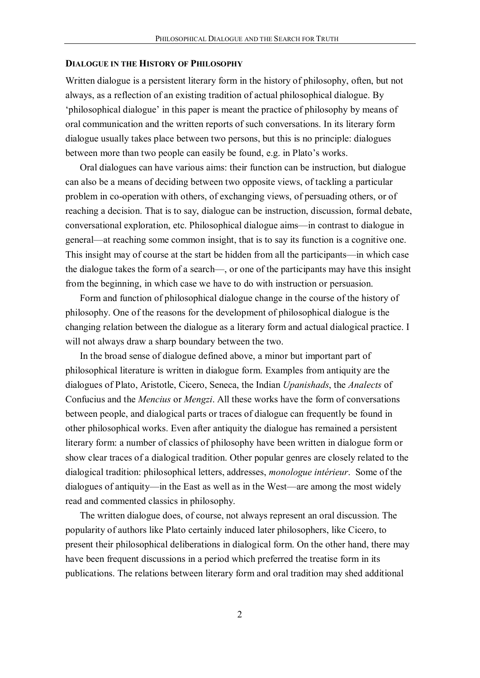#### DIALOGUE IN THE HISTORY OF PHILOSOPHY

Written dialogue is a persistent literary form in the history of philosophy, often, but not always, as a reflection of an existing tradition of actual philosophical dialogue. By 'philosophical dialogue' in this paper is meant the practice of philosophy by means of oral communication and the written reports of such conversations. In its literary form dialogue usually takes place between two persons, but this is no principle: dialogues between more than two people can easily be found, e.g. in Plato's works.

Oral dialogues can have various aims: their function can be instruction, but dialogue can also be a means of deciding between two opposite views, of tackling a particular problem in co-operation with others, of exchanging views, of persuading others, or of reaching a decision. That is to say, dialogue can be instruction, discussion, formal debate, conversational exploration, etc. Philosophical dialogue aims—in contrast to dialogue in general—at reaching some common insight, that is to say its function is a cognitive one. This insight may of course at the start be hidden from all the participants—in which case the dialogue takes the form of a search—, or one of the participants may have this insight from the beginning, in which case we have to do with instruction or persuasion.

Form and function of philosophical dialogue change in the course of the history of philosophy. One of the reasons for the development of philosophical dialogue is the changing relation between the dialogue as a literary form and actual dialogical practice. I will not always draw a sharp boundary between the two.

In the broad sense of dialogue defined above, a minor but important part of philosophical literature is written in dialogue form. Examples from antiquity are the dialogues of Plato, Aristotle, Cicero, Seneca, the Indian *Upanishads*, the *Analects* of Confucius and the *Mencius* or *Mengzi*. All these works have the form of conversations between people, and dialogical parts or traces of dialogue can frequently be found in other philosophical works. Even after antiquity the dialogue has remained a persistent literary form: a number of classics of philosophy have been written in dialogue form or show clear traces of a dialogical tradition. Other popular genres are closely related to the dialogical tradition: philosophical letters, addresses, *monologue intérieur*. Some of the dialogues of antiquity—in the East as well as in the West—are among the most widely read and commented classics in philosophy.

The written dialogue does, of course, not always represent an oral discussion. The popularity of authors like Plato certainly induced later philosophers, like Cicero, to present their philosophical deliberations in dialogical form. On the other hand, there may have been frequent discussions in a period which preferred the treatise form in its publications. The relations between literary form and oral tradition may shed additional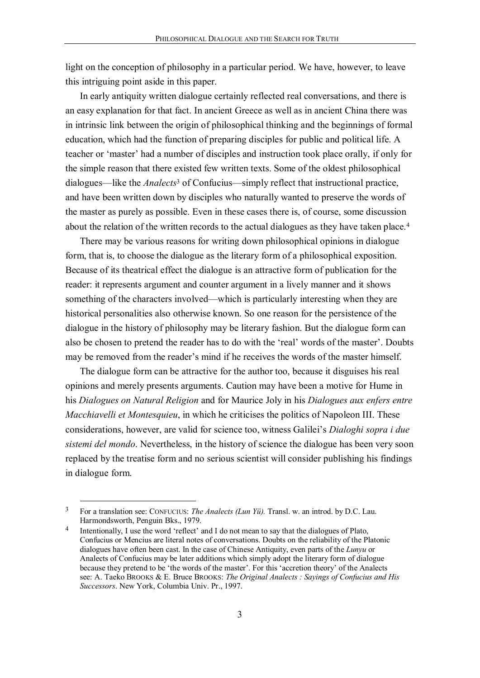light on the conception of philosophy in a particular period. We have, however, to leave this intriguing point aside in this paper.

In early antiquity written dialogue certainly reflected real conversations, and there is an easy explanation for that fact. In ancient Greece as well as in ancient China there was in intrinsic link between the origin of philosophical thinking and the beginnings of formal education, which had the function of preparing disciples for public and political life. A teacher or 'master' had a number of disciples and instruction took place orally, if only for the simple reason that there existed few written texts. Some of the oldest philosophical dialogues—like the *Analects*<sup>3</sup> of Confucius—simply reflect that instructional practice, and have been written down by disciples who naturally wanted to preserve the words of the master as purely as possible. Even in these cases there is, of course, some discussion about the relation of the written records to the actual dialogues as they have taken place.<sup>4</sup>

There may be various reasons for writing down philosophical opinions in dialogue form, that is, to choose the dialogue as the literary form of a philosophical exposition. Because of its theatrical effect the dialogue is an attractive form of publication for the reader: it represents argument and counter argument in a lively manner and it shows something of the characters involved—which is particularly interesting when they are historical personalities also otherwise known. So one reason for the persistence of the dialogue in the history of philosophy may be literary fashion. But the dialogue form can also be chosen to pretend the reader has to do with the 'real' words of the master'. Doubts may be removed from the reader's mind if he receives the words of the master himself.

The dialogue form can be attractive for the author too, because it disguises his real opinions and merely presents arguments. Caution may have been a motive for Hume in his *Dialogues on Natural Religion* and for Maurice Joly in his *Dialogues aux enfers entre Macchiavelli et Montesquieu*, in which he criticises the politics of Napoleon III. These considerations, however, are valid for science too, witness Galilei's *Dialoghi sopra i due sistemi del mondo*. Nevertheless, in the history of science the dialogue has been very soon replaced by the treatise form and no serious scientist will consider publishing his findings in dialogue form.

 <sup>3</sup> For a translation see: CONFUCIUS: *The Analects (Lun Yü).* Transl. w. an introd. by D.C. Lau. Harmondsworth, Penguin Bks., 1979.

Intentionally, I use the word 'reflect' and I do not mean to say that the dialogues of Plato, Confucius or Mencius are literal notes of conversations. Doubts on the reliability of the Platonic dialogues have often been cast. In the case of Chinese Antiquity, even parts of the *Lunyu* or Analects of Confucius may be later additions which simply adopt the literary form of dialogue because they pretend to be 'the words of the master'. For this 'accretion theory' of the Analects see: A. Taeko BROOKS & E. Bruce BROOKS: *The Original Analects : Sayings of Confucius and His Successors*. New York, Columbia Univ. Pr., 1997.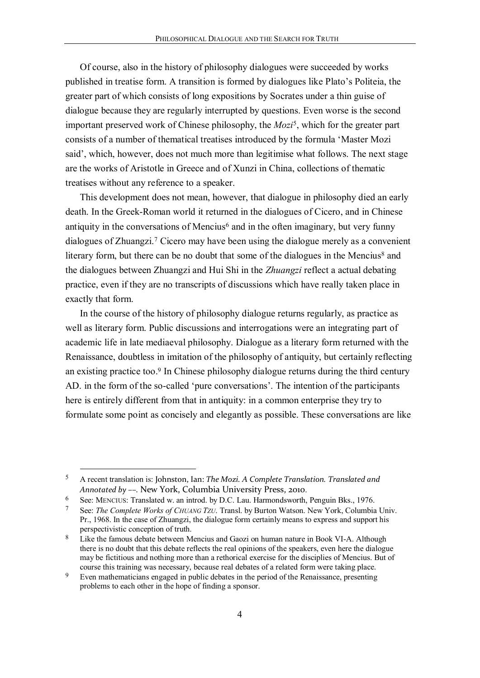Of course, also in the history of philosophy dialogues were succeeded by works published in treatise form. A transition is formed by dialogues like Plato's Politeia, the greater part of which consists of long expositions by Socrates under a thin guise of dialogue because they are regularly interrupted by questions. Even worse is the second important preserved work of Chinese philosophy, the *Mozi*5, which for the greater part consists of a number of thematical treatises introduced by the formula 'Master Mozi said', which, however, does not much more than legitimise what follows. The next stage are the works of Aristotle in Greece and of Xunzi in China, collections of thematic treatises without any reference to a speaker.

This development does not mean, however, that dialogue in philosophy died an early death. In the Greek-Roman world it returned in the dialogues of Cicero, and in Chinese antiquity in the conversations of Mencius<sup> $6$ </sup> and in the often imaginary, but very funny dialogues of Zhuangzi.7 Cicero may have been using the dialogue merely as a convenient literary form, but there can be no doubt that some of the dialogues in the Mencius<sup>8</sup> and the dialogues between Zhuangzi and Hui Shi in the *Zhuangzi* reflect a actual debating practice, even if they are no transcripts of discussions which have really taken place in exactly that form.

In the course of the history of philosophy dialogue returns regularly, as practice as well as literary form. Public discussions and interrogations were an integrating part of academic life in late mediaeval philosophy. Dialogue as a literary form returned with the Renaissance, doubtless in imitation of the philosophy of antiquity, but certainly reflecting an existing practice too.<sup>9</sup> In Chinese philosophy dialogue returns during the third century AD. in the form of the so-called 'pure conversations'. The intention of the participants here is entirely different from that in antiquity: in a common enterprise they try to formulate some point as concisely and elegantly as possible. These conversations are like

 <sup>5</sup> A recent translation is: Johnston, Ian: *The Mozi. A Complete Translation. Translated and Annotated by ––.* New York, Columbia University Press, 2010.

<sup>6</sup> See: MENCIUS: Translated w. an introd. by D.C. Lau. Harmondsworth, Penguin Bks., 1976.

<sup>7</sup> See: *The Complete Works of CHUANG TZU*. Transl. by Burton Watson. New York, Columbia Univ. Pr., 1968. In the case of Zhuangzi, the dialogue form certainly means to express and support his perspectivistic conception of truth.

<sup>8</sup> Like the famous debate between Mencius and Gaozi on human nature in Book VI-A. Although there is no doubt that this debate reflects the real opinions of the speakers, even here the dialogue may be fictitious and nothing more than a rethorical exercise for the disciplies of Mencius. But of course this training was necessary, because real debates of a related form were taking place.

<sup>9</sup> Even mathematicians engaged in public debates in the period of the Renaissance, presenting problems to each other in the hope of finding a sponsor.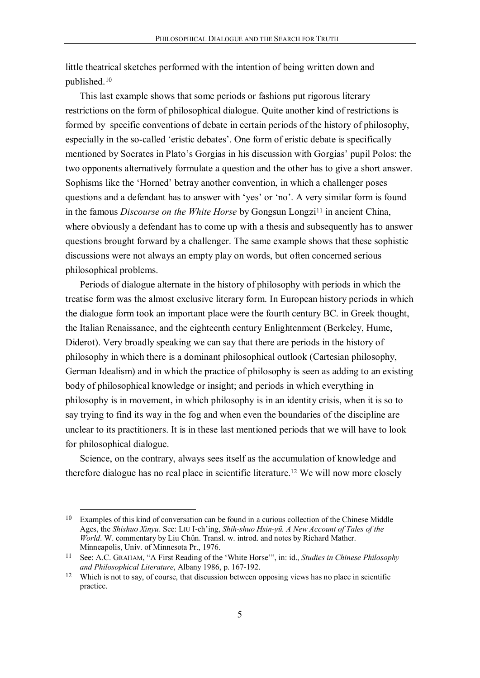little theatrical sketches performed with the intention of being written down and published.10

This last example shows that some periods or fashions put rigorous literary restrictions on the form of philosophical dialogue. Quite another kind of restrictions is formed by specific conventions of debate in certain periods of the history of philosophy, especially in the so-called 'eristic debates'. One form of eristic debate is specifically mentioned by Socrates in Plato's Gorgias in his discussion with Gorgias' pupil Polos: the two opponents alternatively formulate a question and the other has to give a short answer. Sophisms like the 'Horned' betray another convention, in which a challenger poses questions and a defendant has to answer with 'yes' or 'no'. A very similar form is found in the famous *Discourse on the White Horse* by Gongsun Longzi<sup>11</sup> in ancient China, where obviously a defendant has to come up with a thesis and subsequently has to answer questions brought forward by a challenger. The same example shows that these sophistic discussions were not always an empty play on words, but often concerned serious philosophical problems.

Periods of dialogue alternate in the history of philosophy with periods in which the treatise form was the almost exclusive literary form. In European history periods in which the dialogue form took an important place were the fourth century BC. in Greek thought, the Italian Renaissance, and the eighteenth century Enlightenment (Berkeley, Hume, Diderot). Very broadly speaking we can say that there are periods in the history of philosophy in which there is a dominant philosophical outlook (Cartesian philosophy, German Idealism) and in which the practice of philosophy is seen as adding to an existing body of philosophical knowledge or insight; and periods in which everything in philosophy is in movement, in which philosophy is in an identity crisis, when it is so to say trying to find its way in the fog and when even the boundaries of the discipline are unclear to its practitioners. It is in these last mentioned periods that we will have to look for philosophical dialogue.

Science, on the contrary, always sees itself as the accumulation of knowledge and therefore dialogue has no real place in scientific literature.12 We will now more closely

 <sup>10</sup> Examples of this kind of conversation can be found in a curious collection of the Chinese Middle Ages, the *Shishuo Xinyu*. See: LIU I-ch'ing, *Shih-shuo Hsin-yü. A New Account of Tales of the World*. W. commentary by Liu Chün. Transl. w. introd. and notes by Richard Mather. Minneapolis, Univ. of Minnesota Pr., 1976.

<sup>11</sup> See: A.C. GRAHAM, "A First Reading of the 'White Horse'", in: id., *Studies in Chinese Philosophy and Philosophical Literature*, Albany 1986, p. 167-192.

<sup>&</sup>lt;sup>12</sup> Which is not to say, of course, that discussion between opposing views has no place in scientific practice.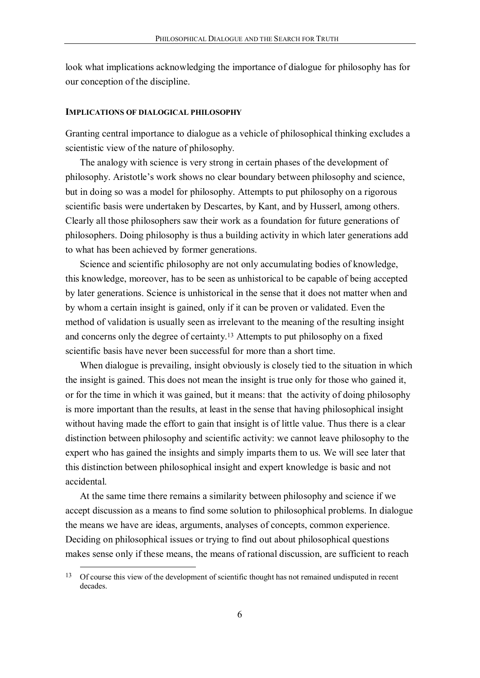look what implications acknowledging the importance of dialogue for philosophy has for our conception of the discipline.

# IMPLICATIONS OF DIALOGICAL PHILOSOPHY

Granting central importance to dialogue as a vehicle of philosophical thinking excludes a scientistic view of the nature of philosophy.

The analogy with science is very strong in certain phases of the development of philosophy. Aristotle's work shows no clear boundary between philosophy and science, but in doing so was a model for philosophy. Attempts to put philosophy on a rigorous scientific basis were undertaken by Descartes, by Kant, and by Husserl, among others. Clearly all those philosophers saw their work as a foundation for future generations of philosophers. Doing philosophy is thus a building activity in which later generations add to what has been achieved by former generations.

Science and scientific philosophy are not only accumulating bodies of knowledge, this knowledge, moreover, has to be seen as unhistorical to be capable of being accepted by later generations. Science is unhistorical in the sense that it does not matter when and by whom a certain insight is gained, only if it can be proven or validated. Even the method of validation is usually seen as irrelevant to the meaning of the resulting insight and concerns only the degree of certainty.13 Attempts to put philosophy on a fixed scientific basis have never been successful for more than a short time.

When dialogue is prevailing, insight obviously is closely tied to the situation in which the insight is gained. This does not mean the insight is true only for those who gained it, or for the time in which it was gained, but it means: that the activity of doing philosophy is more important than the results, at least in the sense that having philosophical insight without having made the effort to gain that insight is of little value. Thus there is a clear distinction between philosophy and scientific activity: we cannot leave philosophy to the expert who has gained the insights and simply imparts them to us. We will see later that this distinction between philosophical insight and expert knowledge is basic and not accidental.

At the same time there remains a similarity between philosophy and science if we accept discussion as a means to find some solution to philosophical problems. In dialogue the means we have are ideas, arguments, analyses of concepts, common experience. Deciding on philosophical issues or trying to find out about philosophical questions makes sense only if these means, the means of rational discussion, are sufficient to reach

<sup>&</sup>lt;sup>13</sup> Of course this view of the development of scientific thought has not remained undisputed in recent decades.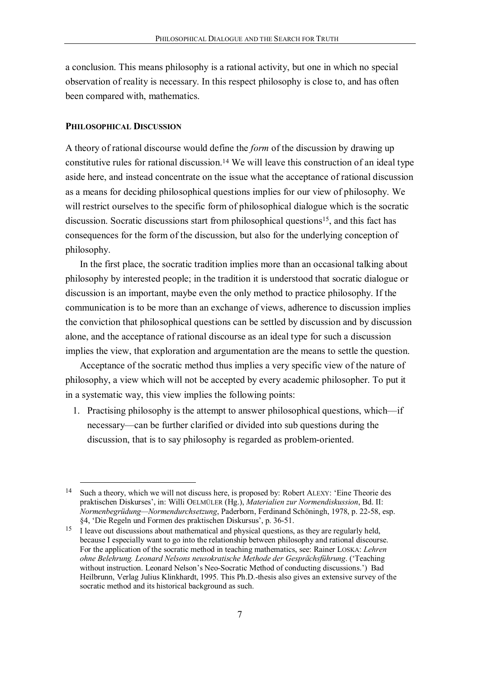a conclusion. This means philosophy is a rational activity, but one in which no special observation of reality is necessary. In this respect philosophy is close to, and has often been compared with, mathematics.

#### PHILOSOPHICAL DISCUSSION

A theory of rational discourse would define the *form* of the discussion by drawing up constitutive rules for rational discussion.14 We will leave this construction of an ideal type aside here, and instead concentrate on the issue what the acceptance of rational discussion as a means for deciding philosophical questions implies for our view of philosophy. We will restrict ourselves to the specific form of philosophical dialogue which is the socratic discussion. Socratic discussions start from philosophical questions<sup>15</sup>, and this fact has consequences for the form of the discussion, but also for the underlying conception of philosophy.

In the first place, the socratic tradition implies more than an occasional talking about philosophy by interested people; in the tradition it is understood that socratic dialogue or discussion is an important, maybe even the only method to practice philosophy. If the communication is to be more than an exchange of views, adherence to discussion implies the conviction that philosophical questions can be settled by discussion and by discussion alone, and the acceptance of rational discourse as an ideal type for such a discussion implies the view, that exploration and argumentation are the means to settle the question.

Acceptance of the socratic method thus implies a very specific view of the nature of philosophy, a view which will not be accepted by every academic philosopher. To put it in a systematic way, this view implies the following points:

1. Practising philosophy is the attempt to answer philosophical questions, which—if necessary—can be further clarified or divided into sub questions during the discussion, that is to say philosophy is regarded as problem-oriented.

 <sup>14</sup> Such a theory, which we will not discuss here, is proposed by: Robert ALEXY: 'Eine Theorie des praktischen Diskurses', in: Willi OELMÜLER (Hg.), *Materialien zur Normendiskussion*, Bd. II: *Normenbegrüdung—Normendurchsetzung*, Paderborn, Ferdinand Schöningh, 1978, p. 22-58, esp. §4, 'Die Regeln und Formen des praktischen Diskursus', p. 36-51.

<sup>&</sup>lt;sup>15</sup> I leave out discussions about mathematical and physical questions, as they are regularly held, because I especially want to go into the relationship between philosophy and rational discourse. For the application of the socratic method in teaching mathematics, see: Rainer LOSKA: *Lehren ohne Belehrung. Leonard Nelsons neusokratische Methode der Gesprächsführung*. ('Teaching without instruction. Leonard Nelson's Neo-Socratic Method of conducting discussions.') Bad Heilbrunn, Verlag Julius Klinkhardt, 1995. This Ph.D.-thesis also gives an extensive survey of the socratic method and its historical background as such.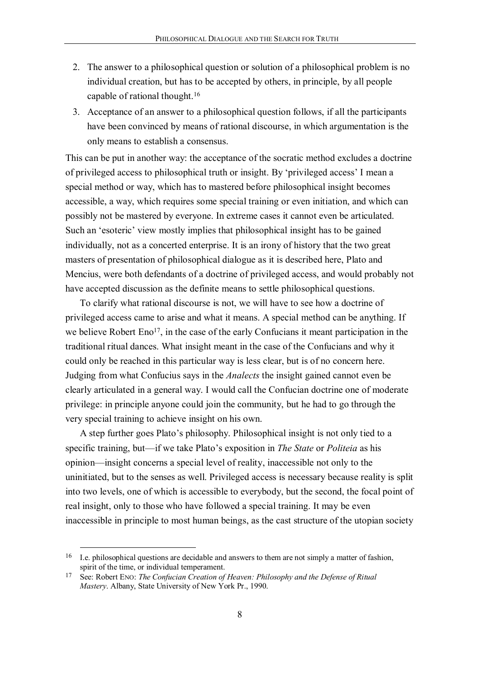- 2. The answer to a philosophical question or solution of a philosophical problem is no individual creation, but has to be accepted by others, in principle, by all people capable of rational thought.16
- 3. Acceptance of an answer to a philosophical question follows, if all the participants have been convinced by means of rational discourse, in which argumentation is the only means to establish a consensus.

This can be put in another way: the acceptance of the socratic method excludes a doctrine of privileged access to philosophical truth or insight. By 'privileged access' I mean a special method or way, which has to mastered before philosophical insight becomes accessible, a way, which requires some special training or even initiation, and which can possibly not be mastered by everyone. In extreme cases it cannot even be articulated. Such an 'esoteric' view mostly implies that philosophical insight has to be gained individually, not as a concerted enterprise. It is an irony of history that the two great masters of presentation of philosophical dialogue as it is described here, Plato and Mencius, were both defendants of a doctrine of privileged access, and would probably not have accepted discussion as the definite means to settle philosophical questions.

To clarify what rational discourse is not, we will have to see how a doctrine of privileged access came to arise and what it means. A special method can be anything. If we believe Robert Eno<sup>17</sup>, in the case of the early Confucians it meant participation in the traditional ritual dances. What insight meant in the case of the Confucians and why it could only be reached in this particular way is less clear, but is of no concern here. Judging from what Confucius says in the *Analects* the insight gained cannot even be clearly articulated in a general way. I would call the Confucian doctrine one of moderate privilege: in principle anyone could join the community, but he had to go through the very special training to achieve insight on his own.

A step further goes Plato's philosophy. Philosophical insight is not only tied to a specific training, but—if we take Plato's exposition in *The State* or *Politeia* as his opinion—insight concerns a special level of reality, inaccessible not only to the uninitiated, but to the senses as well. Privileged access is necessary because reality is split into two levels, one of which is accessible to everybody, but the second, the focal point of real insight, only to those who have followed a special training. It may be even inaccessible in principle to most human beings, as the cast structure of the utopian society

 <sup>16</sup> I.e. philosophical questions are decidable and answers to them are not simply a matter of fashion, spirit of the time, or individual temperament.

<sup>17</sup> See: Robert ENO: *The Confucian Creation of Heaven: Philosophy and the Defense of Ritual Mastery*. Albany, State University of New York Pr., 1990.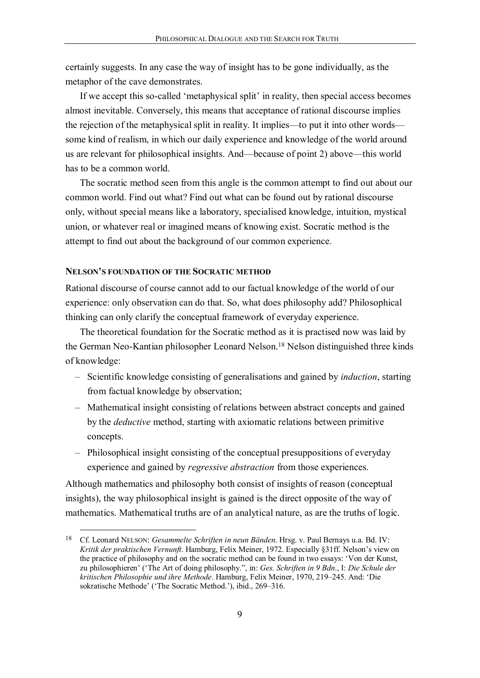certainly suggests. In any case the way of insight has to be gone individually, as the metaphor of the cave demonstrates.

If we accept this so-called 'metaphysical split' in reality, then special access becomes almost inevitable. Conversely, this means that acceptance of rational discourse implies the rejection of the metaphysical split in reality. It implies—to put it into other words some kind of realism, in which our daily experience and knowledge of the world around us are relevant for philosophical insights. And—because of point 2) above—this world has to be a common world.

The socratic method seen from this angle is the common attempt to find out about our common world. Find out what? Find out what can be found out by rational discourse only, without special means like a laboratory, specialised knowledge, intuition, mystical union, or whatever real or imagined means of knowing exist. Socratic method is the attempt to find out about the background of our common experience.

## NELSON'S FOUNDATION OF THE SOCRATIC METHOD

Rational discourse of course cannot add to our factual knowledge of the world of our experience: only observation can do that. So, what does philosophy add? Philosophical thinking can only clarify the conceptual framework of everyday experience.

The theoretical foundation for the Socratic method as it is practised now was laid by the German Neo-Kantian philosopher Leonard Nelson.18 Nelson distinguished three kinds of knowledge:

- Scientific knowledge consisting of generalisations and gained by *induction*, starting from factual knowledge by observation;
- Mathematical insight consisting of relations between abstract concepts and gained by the *deductive* method, starting with axiomatic relations between primitive concepts.
- Philosophical insight consisting of the conceptual presuppositions of everyday experience and gained by *regressive abstraction* from those experiences.

Although mathematics and philosophy both consist of insights of reason (conceptual insights), the way philosophical insight is gained is the direct opposite of the way of mathematics. Mathematical truths are of an analytical nature, as are the truths of logic.

 <sup>18</sup> Cf. Leonard NELSON: *Gesammelte Schriften in neun Bänden*. Hrsg. v. Paul Bernays u.a. Bd. IV: *Kritik der praktischen Vernunft*. Hamburg, Felix Meiner, 1972. Especially §31ff. Nelson's view on the practice of philosophy and on the socratic method can be found in two essays: 'Von der Kunst, zu philosophieren' ('The Art of doing philosophy.", in: *Ges. Schriften in 9 Bdn*., I: *Die Schule der kritischen Philosophie und ihre Methode*. Hamburg, Felix Meiner, 1970, 219–245. And: 'Die sokratische Methode' ('The Socratic Method.'), ibid., 269–316.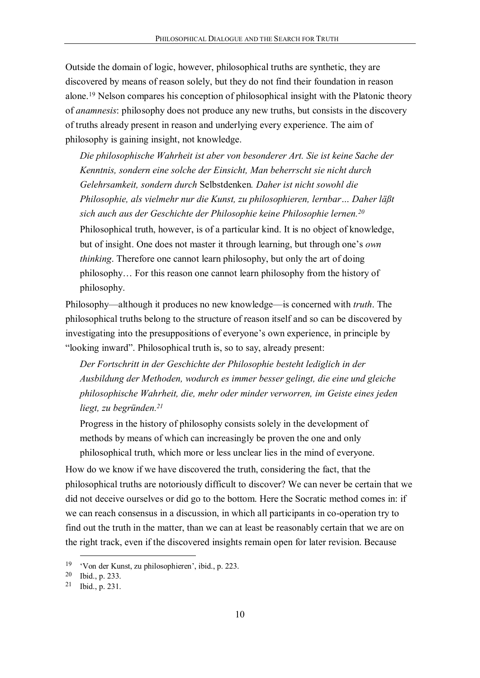Outside the domain of logic, however, philosophical truths are synthetic, they are discovered by means of reason solely, but they do not find their foundation in reason alone.19 Nelson compares his conception of philosophical insight with the Platonic theory of *anamnesis*: philosophy does not produce any new truths, but consists in the discovery of truths already present in reason and underlying every experience. The aim of philosophy is gaining insight, not knowledge.

*Die philosophische Wahrheit ist aber von besonderer Art. Sie ist keine Sache der Kenntnis, sondern eine solche der Einsicht, Man beherrscht sie nicht durch Gelehrsamkeit, sondern durch* Selbstdenken*. Daher ist nicht sowohl die Philosophie, als vielmehr nur die Kunst, zu philosophieren, lernbar… Daher läßt sich auch aus der Geschichte der Philosophie keine Philosophie lernen.20* Philosophical truth, however, is of a particular kind. It is no object of knowledge, but of insight. One does not master it through learning, but through one's *own thinking*. Therefore one cannot learn philosophy, but only the art of doing philosophy… For this reason one cannot learn philosophy from the history of philosophy.

Philosophy—although it produces no new knowledge—is concerned with *truth*. The philosophical truths belong to the structure of reason itself and so can be discovered by investigating into the presuppositions of everyone's own experience, in principle by "looking inward". Philosophical truth is, so to say, already present:

*Der Fortschritt in der Geschichte der Philosophie besteht lediglich in der Ausbildung der Methoden, wodurch es immer besser gelingt, die eine und gleiche philosophische Wahrheit, die, mehr oder minder verworren, im Geiste eines jeden liegt, zu begründen.21*

Progress in the history of philosophy consists solely in the development of methods by means of which can increasingly be proven the one and only philosophical truth, which more or less unclear lies in the mind of everyone.

How do we know if we have discovered the truth, considering the fact, that the philosophical truths are notoriously difficult to discover? We can never be certain that we did not deceive ourselves or did go to the bottom. Here the Socratic method comes in: if we can reach consensus in a discussion, in which all participants in co-operation try to find out the truth in the matter, than we can at least be reasonably certain that we are on the right track, even if the discovered insights remain open for later revision. Because

 <sup>19</sup> 'Von der Kunst, zu philosophieren', ibid., p. 223.

<sup>20</sup> Ibid., p. 233.

<sup>21</sup> Ibid., p. 231.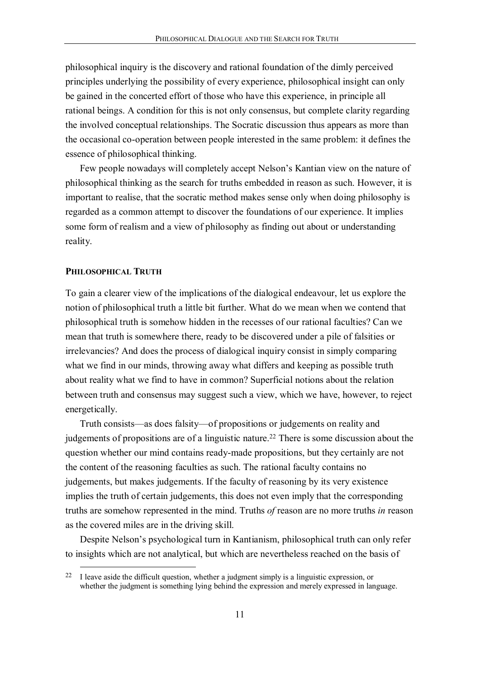philosophical inquiry is the discovery and rational foundation of the dimly perceived principles underlying the possibility of every experience, philosophical insight can only be gained in the concerted effort of those who have this experience, in principle all rational beings. A condition for this is not only consensus, but complete clarity regarding the involved conceptual relationships. The Socratic discussion thus appears as more than the occasional co-operation between people interested in the same problem: it defines the essence of philosophical thinking.

Few people nowadays will completely accept Nelson's Kantian view on the nature of philosophical thinking as the search for truths embedded in reason as such. However, it is important to realise, that the socratic method makes sense only when doing philosophy is regarded as a common attempt to discover the foundations of our experience. It implies some form of realism and a view of philosophy as finding out about or understanding reality.

## PHILOSOPHICAL TRUTH

To gain a clearer view of the implications of the dialogical endeavour, let us explore the notion of philosophical truth a little bit further. What do we mean when we contend that philosophical truth is somehow hidden in the recesses of our rational faculties? Can we mean that truth is somewhere there, ready to be discovered under a pile of falsities or irrelevancies? And does the process of dialogical inquiry consist in simply comparing what we find in our minds, throwing away what differs and keeping as possible truth about reality what we find to have in common? Superficial notions about the relation between truth and consensus may suggest such a view, which we have, however, to reject energetically.

Truth consists—as does falsity—of propositions or judgements on reality and judgements of propositions are of a linguistic nature.<sup>22</sup> There is some discussion about the question whether our mind contains ready-made propositions, but they certainly are not the content of the reasoning faculties as such. The rational faculty contains no judgements, but makes judgements. If the faculty of reasoning by its very existence implies the truth of certain judgements, this does not even imply that the corresponding truths are somehow represented in the mind. Truths *of* reason are no more truths *in* reason as the covered miles are in the driving skill.

Despite Nelson's psychological turn in Kantianism, philosophical truth can only refer to insights which are not analytical, but which are nevertheless reached on the basis of

<sup>&</sup>lt;sup>22</sup> I leave aside the difficult question, whether a judgment simply is a linguistic expression, or whether the judgment is something lying behind the expression and merely expressed in language.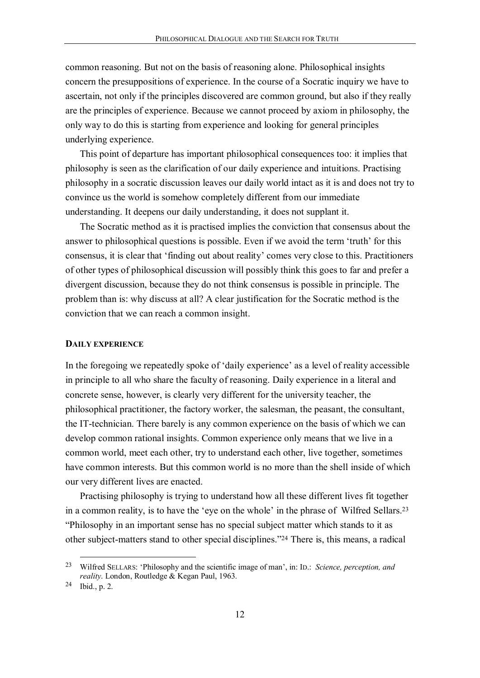common reasoning. But not on the basis of reasoning alone. Philosophical insights concern the presuppositions of experience. In the course of a Socratic inquiry we have to ascertain, not only if the principles discovered are common ground, but also if they really are the principles of experience. Because we cannot proceed by axiom in philosophy, the only way to do this is starting from experience and looking for general principles underlying experience.

This point of departure has important philosophical consequences too: it implies that philosophy is seen as the clarification of our daily experience and intuitions. Practising philosophy in a socratic discussion leaves our daily world intact as it is and does not try to convince us the world is somehow completely different from our immediate understanding. It deepens our daily understanding, it does not supplant it.

The Socratic method as it is practised implies the conviction that consensus about the answer to philosophical questions is possible. Even if we avoid the term 'truth' for this consensus, it is clear that 'finding out about reality' comes very close to this. Practitioners of other types of philosophical discussion will possibly think this goes to far and prefer a divergent discussion, because they do not think consensus is possible in principle. The problem than is: why discuss at all? A clear justification for the Socratic method is the conviction that we can reach a common insight.

#### DAILY EXPERIENCE

In the foregoing we repeatedly spoke of 'daily experience' as a level of reality accessible in principle to all who share the faculty of reasoning. Daily experience in a literal and concrete sense, however, is clearly very different for the university teacher, the philosophical practitioner, the factory worker, the salesman, the peasant, the consultant, the IT-technician. There barely is any common experience on the basis of which we can develop common rational insights. Common experience only means that we live in a common world, meet each other, try to understand each other, live together, sometimes have common interests. But this common world is no more than the shell inside of which our very different lives are enacted.

Practising philosophy is trying to understand how all these different lives fit together in a common reality, is to have the 'eye on the whole' in the phrase of Wilfred Sellars.23 "Philosophy in an important sense has no special subject matter which stands to it as other subject-matters stand to other special disciplines."24 There is, this means, a radical

 <sup>23</sup> Wilfred SELLARS: 'Philosophy and the scientific image of man', in: ID.: *Science, perception, and reality*. London, Routledge & Kegan Paul, 1963.

<sup>24</sup> Ibid., p. 2.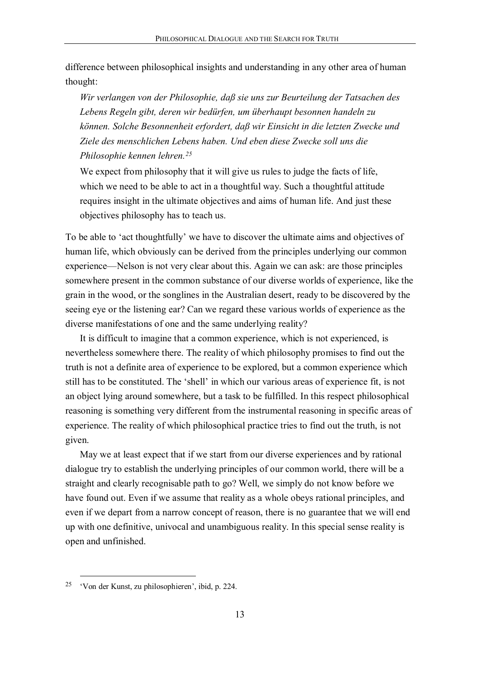difference between philosophical insights and understanding in any other area of human thought:

*Wir verlangen von der Philosophie, daß sie uns zur Beurteilung der Tatsachen des Lebens Regeln gibt, deren wir bedürfen, um überhaupt besonnen handeln zu können. Solche Besonnenheit erfordert, daß wir Einsicht in die letzten Zwecke und Ziele des menschlichen Lebens haben. Und eben diese Zwecke soll uns die Philosophie kennen lehren.25*

We expect from philosophy that it will give us rules to judge the facts of life, which we need to be able to act in a thoughtful way. Such a thoughtful attitude requires insight in the ultimate objectives and aims of human life. And just these objectives philosophy has to teach us.

To be able to 'act thoughtfully' we have to discover the ultimate aims and objectives of human life, which obviously can be derived from the principles underlying our common experience—Nelson is not very clear about this. Again we can ask: are those principles somewhere present in the common substance of our diverse worlds of experience, like the grain in the wood, or the songlines in the Australian desert, ready to be discovered by the seeing eye or the listening ear? Can we regard these various worlds of experience as the diverse manifestations of one and the same underlying reality?

It is difficult to imagine that a common experience, which is not experienced, is nevertheless somewhere there. The reality of which philosophy promises to find out the truth is not a definite area of experience to be explored, but a common experience which still has to be constituted. The 'shell' in which our various areas of experience fit, is not an object lying around somewhere, but a task to be fulfilled. In this respect philosophical reasoning is something very different from the instrumental reasoning in specific areas of experience. The reality of which philosophical practice tries to find out the truth, is not given.

May we at least expect that if we start from our diverse experiences and by rational dialogue try to establish the underlying principles of our common world, there will be a straight and clearly recognisable path to go? Well, we simply do not know before we have found out. Even if we assume that reality as a whole obeys rational principles, and even if we depart from a narrow concept of reason, there is no guarantee that we will end up with one definitive, univocal and unambiguous reality. In this special sense reality is open and unfinished.

 <sup>25</sup> 'Von der Kunst, zu philosophieren', ibid, p. 224.